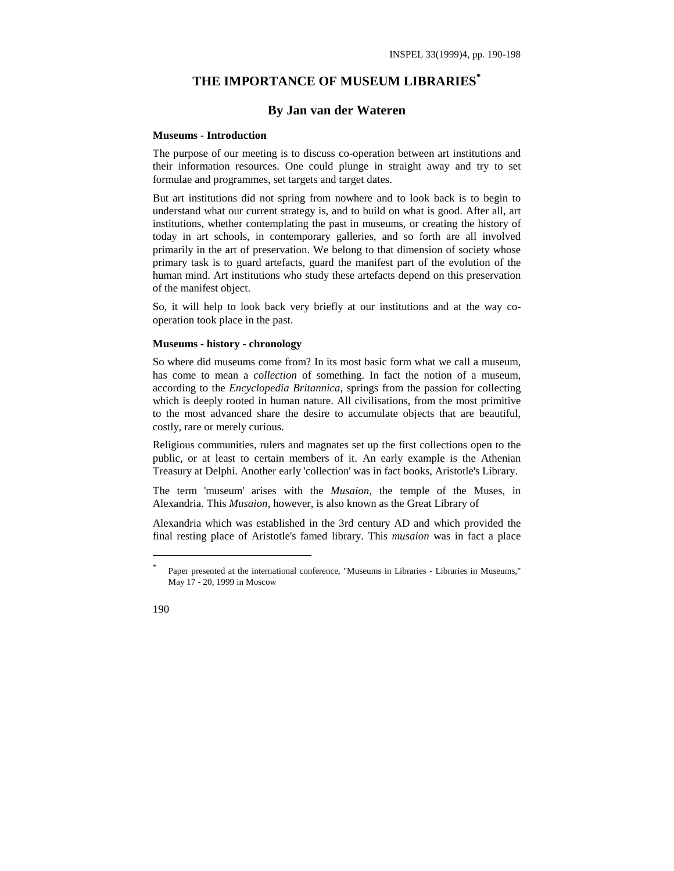# **THE IMPORTANCE OF MUSEUM LIBRARIES\***

## **By Jan van der Wateren**

#### **Museums - Introduction**

The purpose of our meeting is to discuss co-operation between art institutions and their information resources. One could plunge in straight away and try to set formulae and programmes, set targets and target dates.

But art institutions did not spring from nowhere and to look back is to begin to understand what our current strategy is, and to build on what is good. After all, art institutions, whether contemplating the past in museums, or creating the history of today in art schools, in contemporary galleries, and so forth are all involved primarily in the art of preservation. We belong to that dimension of society whose primary task is to guard artefacts, guard the manifest part of the evolution of the human mind. Art institutions who study these artefacts depend on this preservation of the manifest object.

So, it will help to look back very briefly at our institutions and at the way cooperation took place in the past.

### **Museums - history - chronology**

So where did museums come from? In its most basic form what we call a museum, has come to mean a *collection* of something. In fact the notion of a museum, according to the *Encyclopedia Britannica,* springs from the passion for collecting which is deeply rooted in human nature. All civilisations, from the most primitive to the most advanced share the desire to accumulate objects that are beautiful, costly, rare or merely curious.

Religious communities, rulers and magnates set up the first collections open to the public, or at least to certain members of it. An early example is the Athenian Treasury at Delphi. Another early 'collection' was in fact books, Aristotle's Library.

The term 'museum' arises with the *Musaion,* the temple of the Muses, in Alexandria. This *Musaion*, however, is also known as the Great Library of

Alexandria which was established in the 3rd century AD and which provided the final resting place of Aristotle's famed library. This *musaion* was in fact a place

1

Paper presented at the international conference, "Museums in Libraries - Libraries in Museums," May 17 - 20, 1999 in Moscow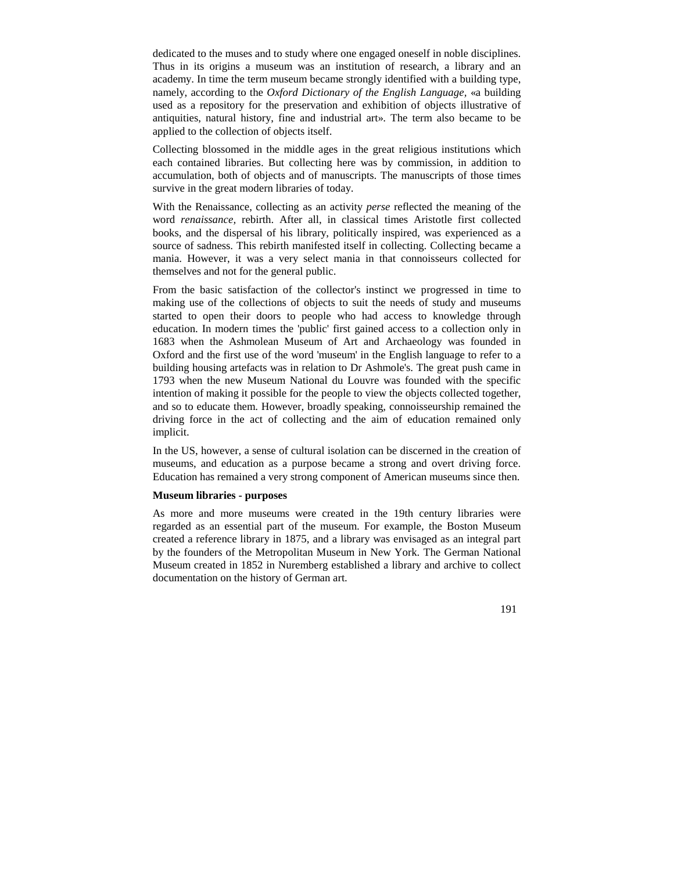dedicated to the muses and to study where one engaged oneself in noble disciplines. Thus in its origins a museum was an institution of research, a library and an academy. In time the term museum became strongly identified with a building type, namely, according to the *Oxford Dictionary of the English Language,* «a building used as a repository for the preservation and exhibition of objects illustrative of antiquities, natural history, fine and industrial art». The term also became to be applied to the collection of objects itself.

Collecting blossomed in the middle ages in the great religious institutions which each contained libraries. But collecting here was by commission, in addition to accumulation, both of objects and of manuscripts. The manuscripts of those times survive in the great modern libraries of today.

With the Renaissance, collecting as an activity *perse* reflected the meaning of the word *renaissance,* rebirth. After all, in classical times Aristotle first collected books, and the dispersal of his library, politically inspired, was experienced as a source of sadness. This rebirth manifested itself in collecting. Collecting became a mania. However, it was a very select mania in that connoisseurs collected for themselves and not for the general public.

From the basic satisfaction of the collector's instinct we progressed in time to making use of the collections of objects to suit the needs of study and museums started to open their doors to people who had access to knowledge through education. In modern times the 'public' first gained access to a collection only in 1683 when the Ashmolean Museum of Art and Archaeology was founded in Oxford and the first use of the word 'museum' in the English language to refer to a building housing artefacts was in relation to Dr Ashmole's. The great push came in 1793 when the new Museum National du Louvre was founded with the specific intention of making it possible for the people to view the objects collected together, and so to educate them. However, broadly speaking, connoisseurship remained the driving force in the act of collecting and the aim of education remained only implicit.

In the US, however, a sense of cultural isolation can be discerned in the creation of museums, and education as a purpose became a strong and overt driving force. Education has remained a very strong component of American museums since then.

### **Museum libraries - purposes**

As more and more museums were created in the 19th century libraries were regarded as an essential part of the museum. For example, the Boston Museum created a reference library in 1875, and a library was envisaged as an integral part by the founders of the Metropolitan Museum in New York. The German National Museum created in 1852 in Nuremberg established a library and archive to collect documentation on the history of German art.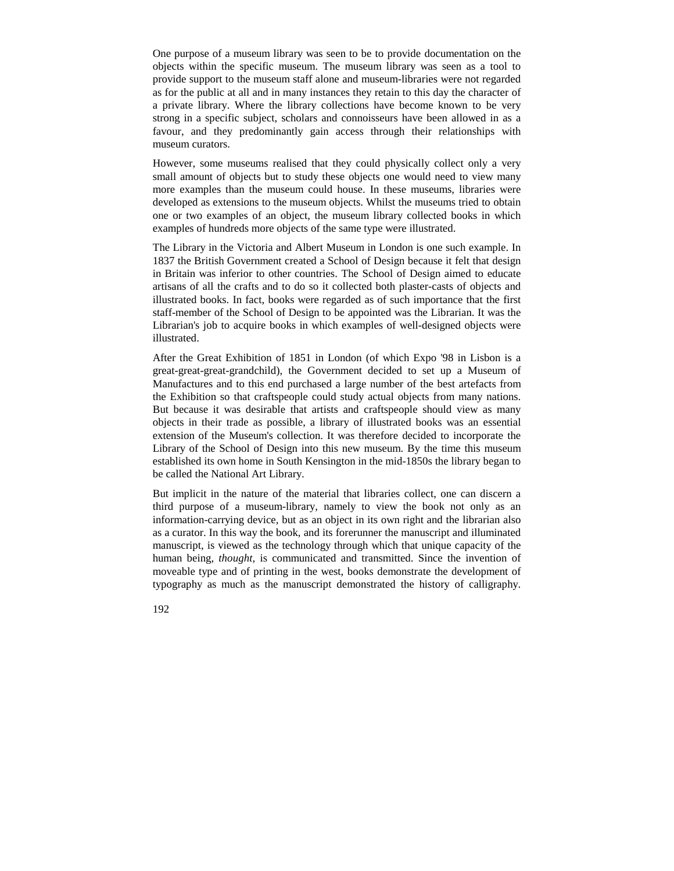One purpose of a museum library was seen to be to provide documentation on the objects within the specific museum. The museum library was seen as a tool to provide support to the museum staff alone and museum-libraries were not regarded as for the public at all and in many instances they retain to this day the character of a private library. Where the library collections have become known to be very strong in a specific subject, scholars and connoisseurs have been allowed in as a favour, and they predominantly gain access through their relationships with museum curators.

However, some museums realised that they could physically collect only a very small amount of objects but to study these objects one would need to view many more examples than the museum could house. In these museums, libraries were developed as extensions to the museum objects. Whilst the museums tried to obtain one or two examples of an object, the museum library collected books in which examples of hundreds more objects of the same type were illustrated.

The Library in the Victoria and Albert Museum in London is one such example. In 1837 the British Government created a School of Design because it felt that design in Britain was inferior to other countries. The School of Design aimed to educate artisans of all the crafts and to do so it collected both plaster-casts of objects and illustrated books. In fact, books were regarded as of such importance that the first staff-member of the School of Design to be appointed was the Librarian. It was the Librarian's job to acquire books in which examples of well-designed objects were illustrated.

After the Great Exhibition of 1851 in London (of which Expo '98 in Lisbon is a great-great-great-grandchild), the Government decided to set up a Museum of Manufactures and to this end purchased a large number of the best artefacts from the Exhibition so that craftspeople could study actual objects from many nations. But because it was desirable that artists and craftspeople should view as many objects in their trade as possible, a library of illustrated books was an essential extension of the Museum's collection. It was therefore decided to incorporate the Library of the School of Design into this new museum. By the time this museum established its own home in South Kensington in the mid-1850s the library began to be called the National Art Library.

But implicit in the nature of the material that libraries collect, one can discern a third purpose of a museum-library, namely to view the book not only as an information-carrying device, but as an object in its own right and the librarian also as a curator. In this way the book, and its forerunner the manuscript and illuminated manuscript, is viewed as the technology through which that unique capacity of the human being, *thought,* is communicated and transmitted. Since the invention of moveable type and of printing in the west, books demonstrate the development of typography as much as the manuscript demonstrated the history of calligraphy.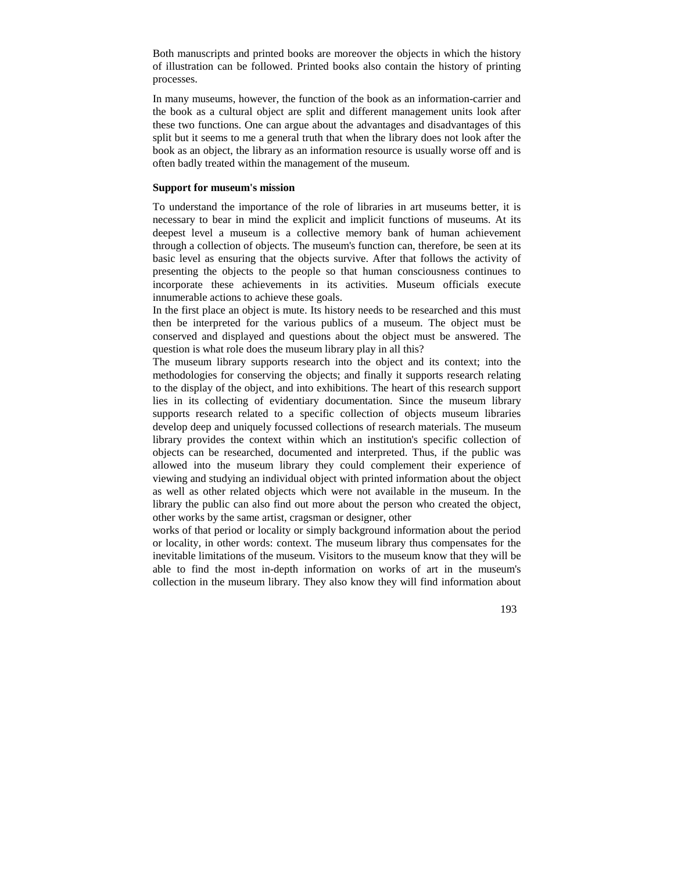Both manuscripts and printed books are moreover the objects in which the history of illustration can be followed. Printed books also contain the history of printing processes.

In many museums, however, the function of the book as an information-carrier and the book as a cultural object are split and different management units look after these two functions. One can argue about the advantages and disadvantages of this split but it seems to me a general truth that when the library does not look after the book as an object, the library as an information resource is usually worse off and is often badly treated within the management of the museum.

### **Support for museum's mission**

To understand the importance of the role of libraries in art museums better, it is necessary to bear in mind the explicit and implicit functions of museums. At its deepest level a museum is a collective memory bank of human achievement through a collection of objects. The museum's function can, therefore, be seen at its basic level as ensuring that the objects survive. After that follows the activity of presenting the objects to the people so that human consciousness continues to incorporate these achievements in its activities. Museum officials execute innumerable actions to achieve these goals.

In the first place an object is mute. Its history needs to be researched and this must then be interpreted for the various publics of a museum. The object must be conserved and displayed and questions about the object must be answered. The question is what role does the museum library play in all this?

The museum library supports research into the object and its context; into the methodologies for conserving the objects; and finally it supports research relating to the display of the object, and into exhibitions. The heart of this research support lies in its collecting of evidentiary documentation. Since the museum library supports research related to a specific collection of objects museum libraries develop deep and uniquely focussed collections of research materials. The museum library provides the context within which an institution's specific collection of objects can be researched, documented and interpreted. Thus, if the public was allowed into the museum library they could complement their experience of viewing and studying an individual object with printed information about the object as well as other related objects which were not available in the museum. In the library the public can also find out more about the person who created the object, other works by the same artist, cragsman or designer, other

works of that period or locality or simply background information about the period or locality, in other words: context. The museum library thus compensates for the inevitable limitations of the museum. Visitors to the museum know that they will be able to find the most in-depth information on works of art in the museum's collection in the museum library. They also know they will find information about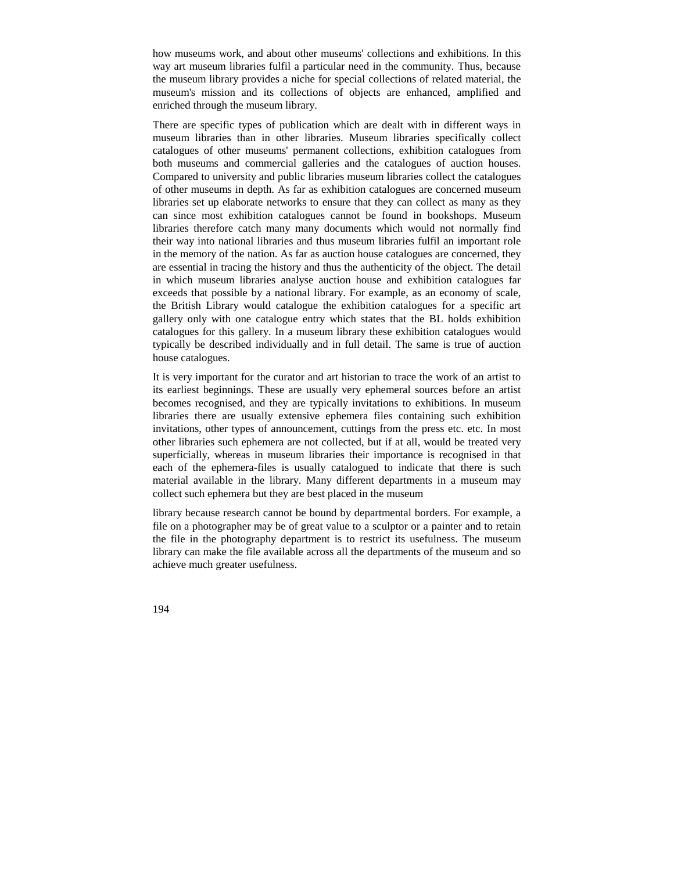how museums work, and about other museums' collections and exhibitions. In this way art museum libraries fulfil a particular need in the community. Thus, because the museum library provides a niche for special collections of related material, the museum's mission and its collections of objects are enhanced, amplified and enriched through the museum library.

There are specific types of publication which are dealt with in different ways in museum libraries than in other libraries. Museum libraries specifically collect catalogues of other museums' permanent collections, exhibition catalogues from both museums and commercial galleries and the catalogues of auction houses. Compared to university and public libraries museum libraries collect the catalogues of other museums in depth. As far as exhibition catalogues are concerned museum libraries set up elaborate networks to ensure that they can collect as many as they can since most exhibition catalogues cannot be found in bookshops. Museum libraries therefore catch many many documents which would not normally find their way into national libraries and thus museum libraries fulfil an important role in the memory of the nation. As far as auction house catalogues are concerned, they are essential in tracing the history and thus the authenticity of the object. The detail in which museum libraries analyse auction house and exhibition catalogues far exceeds that possible by a national library. For example, as an economy of scale, the British Library would catalogue the exhibition catalogues for a specific art gallery only with one catalogue entry which states that the BL holds exhibition catalogues for this gallery. In a museum library these exhibition catalogues would typically be described individually and in full detail. The same is true of auction house catalogues.

It is very important for the curator and art historian to trace the work of an artist to its earliest beginnings. These are usually very ephemeral sources before an artist becomes recognised, and they are typically invitations to exhibitions. In museum libraries there are usually extensive ephemera files containing such exhibition invitations, other types of announcement, cuttings from the press etc. etc. In most other libraries such ephemera are not collected, but if at all, would be treated very superficially, whereas in museum libraries their importance is recognised in that each of the ephemera-files is usually catalogued to indicate that there is such material available in the library. Many different departments in a museum may collect such ephemera but they are best placed in the museum

library because research cannot be bound by departmental borders. For example, a file on a photographer may be of great value to a sculptor or a painter and to retain the file in the photography department is to restrict its usefulness. The museum library can make the file available across all the departments of the museum and so achieve much greater usefulness.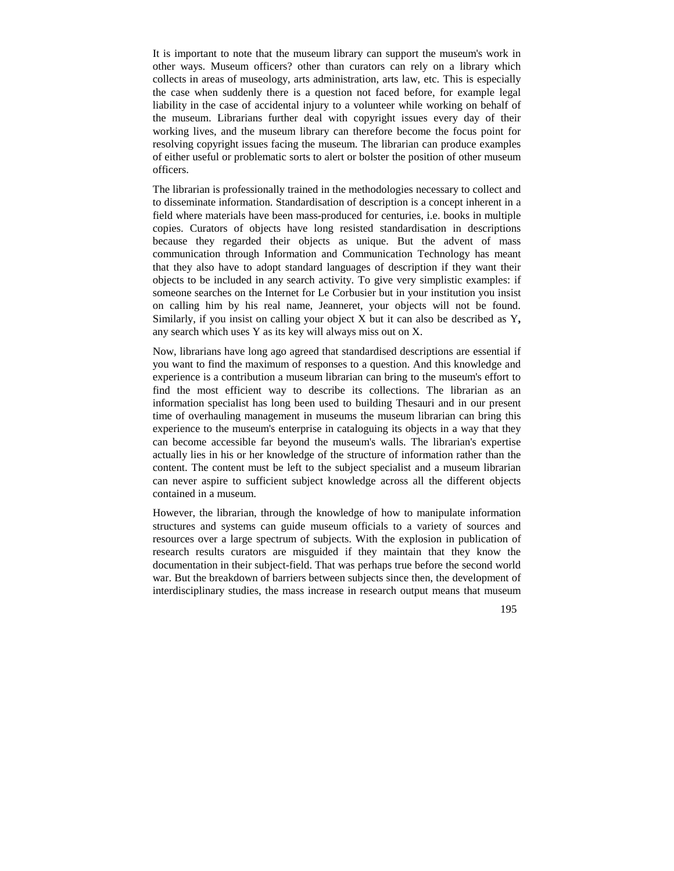It is important to note that the museum library can support the museum's work in other ways. Museum officers? other than curators can rely on a library which collects in areas of museology, arts administration, arts law, etc. This is especially the case when suddenly there is a question not faced before, for example legal liability in the case of accidental injury to a volunteer while working on behalf of the museum. Librarians further deal with copyright issues every day of their working lives, and the museum library can therefore become the focus point for resolving copyright issues facing the museum. The librarian can produce examples of either useful or problematic sorts to alert or bolster the position of other museum officers.

The librarian is professionally trained in the methodologies necessary to collect and to disseminate information. Standardisation of description is a concept inherent in a field where materials have been mass-produced for centuries, i.e. books in multiple copies. Curators of objects have long resisted standardisation in descriptions because they regarded their objects as unique. But the advent of mass communication through Information and Communication Technology has meant that they also have to adopt standard languages of description if they want their objects to be included in any search activity. To give very simplistic examples: if someone searches on the Internet for Le Corbusier but in your institution you insist on calling him by his real name, Jeanneret, your objects will not be found. Similarly, if you insist on calling your object X but it can also be described as Y**,** any search which uses Y as its key will always miss out on X.

Now, librarians have long ago agreed that standardised descriptions are essential if you want to find the maximum of responses to a question. And this knowledge and experience is a contribution a museum librarian can bring to the museum's effort to find the most efficient way to describe its collections. The librarian as an information specialist has long been used to building Thesauri and in our present time of overhauling management in museums the museum librarian can bring this experience to the museum's enterprise in cataloguing its objects in a way that they can become accessible far beyond the museum's walls. The librarian's expertise actually lies in his or her knowledge of the structure of information rather than the content. The content must be left to the subject specialist and a museum librarian can never aspire to sufficient subject knowledge across all the different objects contained in a museum.

However, the librarian, through the knowledge of how to manipulate information structures and systems can guide museum officials to a variety of sources and resources over a large spectrum of subjects. With the explosion in publication of research results curators are misguided if they maintain that they know the documentation in their subject-field. That was perhaps true before the second world war. But the breakdown of barriers between subjects since then, the development of interdisciplinary studies, the mass increase in research output means that museum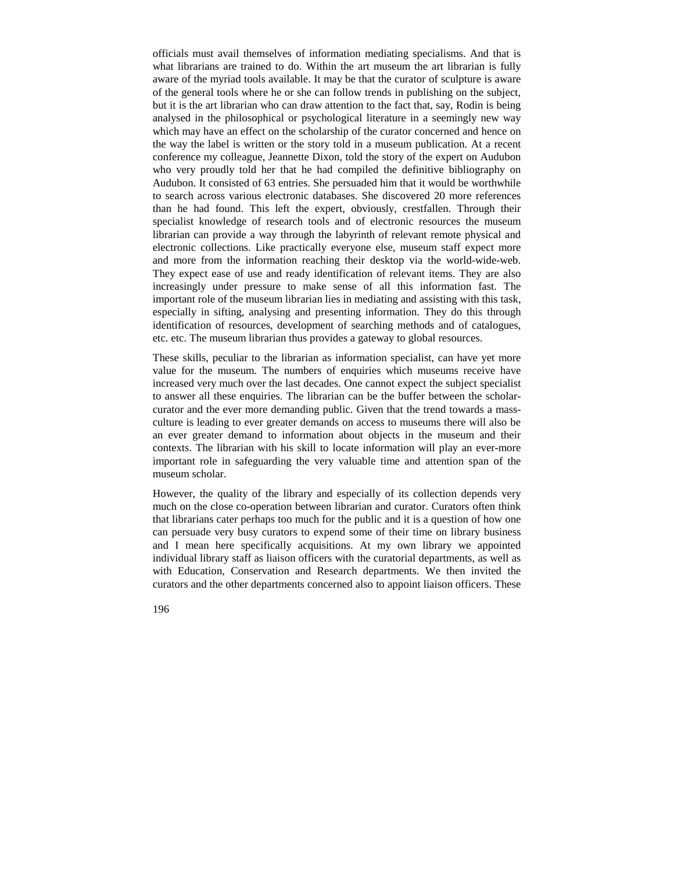officials must avail themselves of information mediating specialisms. And that is what librarians are trained to do. Within the art museum the art librarian is fully aware of the myriad tools available. It may be that the curator of sculpture is aware of the general tools where he or she can follow trends in publishing on the subject, but it is the art librarian who can draw attention to the fact that, say, Rodin is being analysed in the philosophical or psychological literature in a seemingly new way which may have an effect on the scholarship of the curator concerned and hence on the way the label is written or the story told in a museum publication. At a recent conference my colleague, Jeannette Dixon, told the story of the expert on Audubon who very proudly told her that he had compiled the definitive bibliography on Audubon. It consisted of 63 entries. She persuaded him that it would be worthwhile to search across various electronic databases. She discovered 20 more references than he had found. This left the expert, obviously, crestfallen. Through their specialist knowledge of research tools and of electronic resources the museum librarian can provide a way through the labyrinth of relevant remote physical and electronic collections. Like practically everyone else, museum staff expect more and more from the information reaching their desktop via the world-wide-web. They expect ease of use and ready identification of relevant items. They are also increasingly under pressure to make sense of all this information fast. The important role of the museum librarian lies in mediating and assisting with this task, especially in sifting, analysing and presenting information. They do this through identification of resources, development of searching methods and of catalogues, etc. etc. The museum librarian thus provides a gateway to global resources.

These skills, peculiar to the librarian as information specialist, can have yet more value for the museum. The numbers of enquiries which museums receive have increased very much over the last decades. One cannot expect the subject specialist to answer all these enquiries. The librarian can be the buffer between the scholarcurator and the ever more demanding public. Given that the trend towards a massculture is leading to ever greater demands on access to museums there will also be an ever greater demand to information about objects in the museum and their contexts. The librarian with his skill to locate information will play an ever-more important role in safeguarding the very valuable time and attention span of the museum scholar.

However, the quality of the library and especially of its collection depends very much on the close co-operation between librarian and curator. Curators often think that librarians cater perhaps too much for the public and it is a question of how one can persuade very busy curators to expend some of their time on library business and I mean here specifically acquisitions. At my own library we appointed individual library staff as liaison officers with the curatorial departments, as well as with Education, Conservation and Research departments. We then invited the curators and the other departments concerned also to appoint liaison officers. These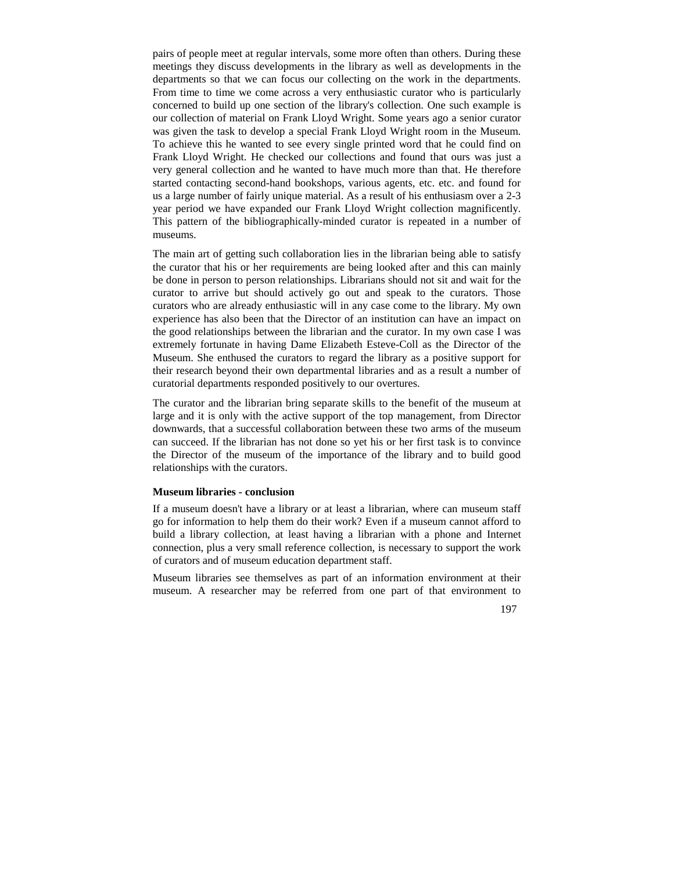pairs of people meet at regular intervals, some more often than others. During these meetings they discuss developments in the library as well as developments in the departments so that we can focus our collecting on the work in the departments. From time to time we come across a very enthusiastic curator who is particularly concerned to build up one section of the library's collection. One such example is our collection of material on Frank Lloyd Wright. Some years ago a senior curator was given the task to develop a special Frank Lloyd Wright room in the Museum. To achieve this he wanted to see every single printed word that he could find on Frank Lloyd Wright. He checked our collections and found that ours was just a very general collection and he wanted to have much more than that. He therefore started contacting second-hand bookshops, various agents, etc. etc. and found for us a large number of fairly unique material. As a result of his enthusiasm over a 2-3 year period we have expanded our Frank Lloyd Wright collection magnificently. This pattern of the bibliographically-minded curator is repeated in a number of museums.

The main art of getting such collaboration lies in the librarian being able to satisfy the curator that his or her requirements are being looked after and this can mainly be done in person to person relationships. Librarians should not sit and wait for the curator to arrive but should actively go out and speak to the curators. Those curators who are already enthusiastic will in any case come to the library. My own experience has also been that the Director of an institution can have an impact on the good relationships between the librarian and the curator. In my own case I was extremely fortunate in having Dame Elizabeth Esteve-Coll as the Director of the Museum. She enthused the curators to regard the library as a positive support for their research beyond their own departmental libraries and as a result a number of curatorial departments responded positively to our overtures.

The curator and the librarian bring separate skills to the benefit of the museum at large and it is only with the active support of the top management, from Director downwards, that a successful collaboration between these two arms of the museum can succeed. If the librarian has not done so yet his or her first task is to convince the Director of the museum of the importance of the library and to build good relationships with the curators.

### **Museum libraries - conclusion**

If a museum doesn't have a library or at least a librarian, where can museum staff go for information to help them do their work? Even if a museum cannot afford to build a library collection, at least having a librarian with a phone and Internet connection, plus a very small reference collection, is necessary to support the work of curators and of museum education department staff.

Museum libraries see themselves as part of an information environment at their museum. A researcher may be referred from one part of that environment to